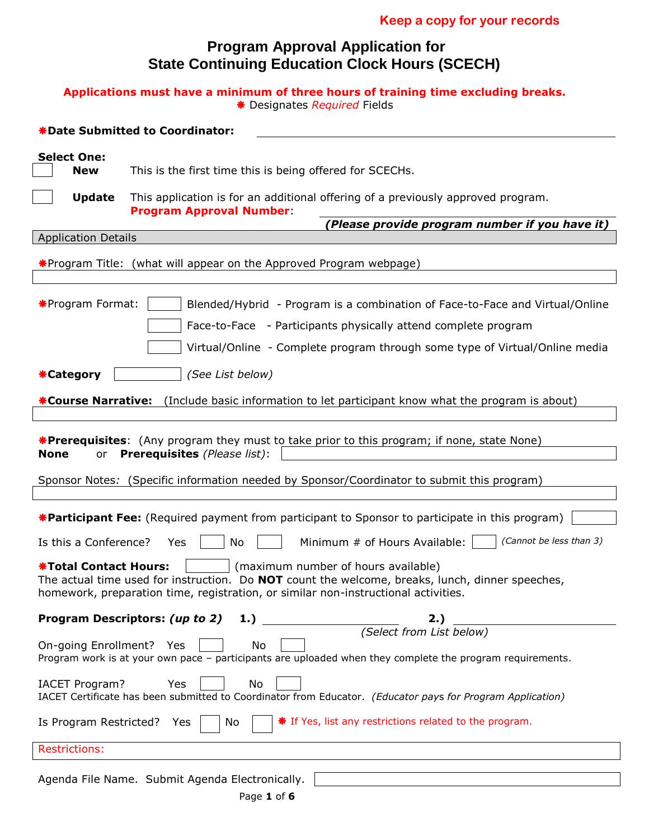## **Program Approval Application for State Continuing Education Clock Hours (SCECH)**

### **Applications must have a minimum of three hours of training time excluding breaks.** Designates *Required* Fields

| *Date Submitted to Coordinator:                                                                                                                                                                                                                              |  |  |  |  |  |
|--------------------------------------------------------------------------------------------------------------------------------------------------------------------------------------------------------------------------------------------------------------|--|--|--|--|--|
| <b>Select One:</b><br>This is the first time this is being offered for SCECHs.<br><b>New</b>                                                                                                                                                                 |  |  |  |  |  |
| <b>Update</b><br>This application is for an additional offering of a previously approved program.<br><b>Program Approval Number:</b>                                                                                                                         |  |  |  |  |  |
| (Please provide program number if you have it)                                                                                                                                                                                                               |  |  |  |  |  |
| <b>Application Details</b>                                                                                                                                                                                                                                   |  |  |  |  |  |
| *Program Title: (what will appear on the Approved Program webpage)                                                                                                                                                                                           |  |  |  |  |  |
| *Program Format:<br>Blended/Hybrid - Program is a combination of Face-to-Face and Virtual/Online<br>Face-to-Face - Participants physically attend complete program<br>Virtual/Online - Complete program through some type of Virtual/Online media            |  |  |  |  |  |
| (See List below)<br><b>*Category</b>                                                                                                                                                                                                                         |  |  |  |  |  |
| <b>*Course Narrative:</b><br>(Include basic information to let participant know what the program is about)                                                                                                                                                   |  |  |  |  |  |
| <b>*Prerequisites:</b> (Any program they must to take prior to this program; if none, state None)<br>or Prerequisites (Please list):<br>None<br>Sponsor Notes: (Specific information needed by Sponsor/Coordinator to submit this program)                   |  |  |  |  |  |
| <b>*Participant Fee:</b> (Required payment from participant to Sponsor to participate in this program)<br>(Cannot be less than 3)<br>Minimum # of Hours Available:<br>Is this a Conference?<br>No<br>Yes                                                     |  |  |  |  |  |
| (maximum number of hours available)<br><b>*Total Contact Hours:</b><br>The actual time used for instruction. Do NOT count the welcome, breaks, lunch, dinner speeches,<br>homework, preparation time, registration, or similar non-instructional activities. |  |  |  |  |  |
| Program Descriptors: (up to 2)<br>1.)<br>2. )                                                                                                                                                                                                                |  |  |  |  |  |
| (Select from List below)<br>On-going Enrollment? Yes<br>No<br>Program work is at your own pace - participants are uploaded when they complete the program requirements.                                                                                      |  |  |  |  |  |
| No<br><b>IACET Program?</b><br>Yes<br>IACET Certificate has been submitted to Coordinator from Educator. (Educator pays for Program Application)                                                                                                             |  |  |  |  |  |
| * If Yes, list any restrictions related to the program.<br>Is Program Restricted?<br>Yes<br>No                                                                                                                                                               |  |  |  |  |  |
| <b>Restrictions:</b>                                                                                                                                                                                                                                         |  |  |  |  |  |
| Agenda File Name. Submit Agenda Electronically.                                                                                                                                                                                                              |  |  |  |  |  |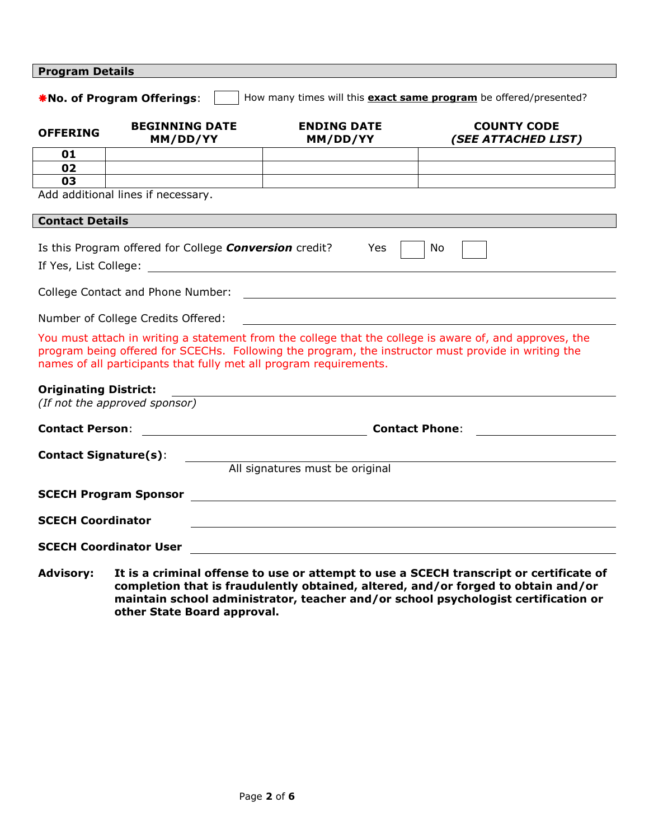| <b>Program Details</b>                                                                                                                                                                                                                                                                |                                    |                                 |                                           |  |  |  |  |
|---------------------------------------------------------------------------------------------------------------------------------------------------------------------------------------------------------------------------------------------------------------------------------------|------------------------------------|---------------------------------|-------------------------------------------|--|--|--|--|
| How many times will this <b>exact same program</b> be offered/presented?<br>*No. of Program Offerings:                                                                                                                                                                                |                                    |                                 |                                           |  |  |  |  |
| <b>OFFERING</b>                                                                                                                                                                                                                                                                       | <b>BEGINNING DATE</b><br>MM/DD/YY  | <b>ENDING DATE</b><br>MM/DD/YY  | <b>COUNTY CODE</b><br>(SEE ATTACHED LIST) |  |  |  |  |
| 01                                                                                                                                                                                                                                                                                    |                                    |                                 |                                           |  |  |  |  |
| 02                                                                                                                                                                                                                                                                                    |                                    |                                 |                                           |  |  |  |  |
| 03                                                                                                                                                                                                                                                                                    | Add additional lines if necessary. |                                 |                                           |  |  |  |  |
| <b>Contact Details</b>                                                                                                                                                                                                                                                                |                                    |                                 |                                           |  |  |  |  |
| Is this Program offered for College <i>Conversion</i> credit?<br>Yes<br>No                                                                                                                                                                                                            |                                    |                                 |                                           |  |  |  |  |
|                                                                                                                                                                                                                                                                                       | Number of College Credits Offered: |                                 |                                           |  |  |  |  |
| You must attach in writing a statement from the college that the college is aware of, and approves, the<br>program being offered for SCECHs. Following the program, the instructor must provide in writing the<br>names of all participants that fully met all program requirements.  |                                    |                                 |                                           |  |  |  |  |
| <b>Originating District:</b><br>(If not the approved sponsor)                                                                                                                                                                                                                         |                                    |                                 |                                           |  |  |  |  |
| <b>Contact Person:</b>                                                                                                                                                                                                                                                                |                                    |                                 | <b>Contact Phone:</b>                     |  |  |  |  |
| <b>Contact Signature(s):</b>                                                                                                                                                                                                                                                          |                                    |                                 |                                           |  |  |  |  |
|                                                                                                                                                                                                                                                                                       |                                    | All signatures must be original |                                           |  |  |  |  |
|                                                                                                                                                                                                                                                                                       |                                    |                                 |                                           |  |  |  |  |
| <b>SCECH Coordinator</b>                                                                                                                                                                                                                                                              |                                    |                                 |                                           |  |  |  |  |
| <b>SCECH Coordinator User</b><br><u> 1989 - Johann Harry Harry Harry Harry Harry Harry Harry Harry Harry Harry Harry Harry Harry Harry Harry Harry</u>                                                                                                                                |                                    |                                 |                                           |  |  |  |  |
| <b>Advisory:</b><br>It is a criminal offense to use or attempt to use a SCECH transcript or certificate of<br>completion that is fraudulently obtained, altered, and/or forged to obtain and/or<br>maintain school administrator, teacher and/or school psychologist certification or |                                    |                                 |                                           |  |  |  |  |

**other State Board approval.**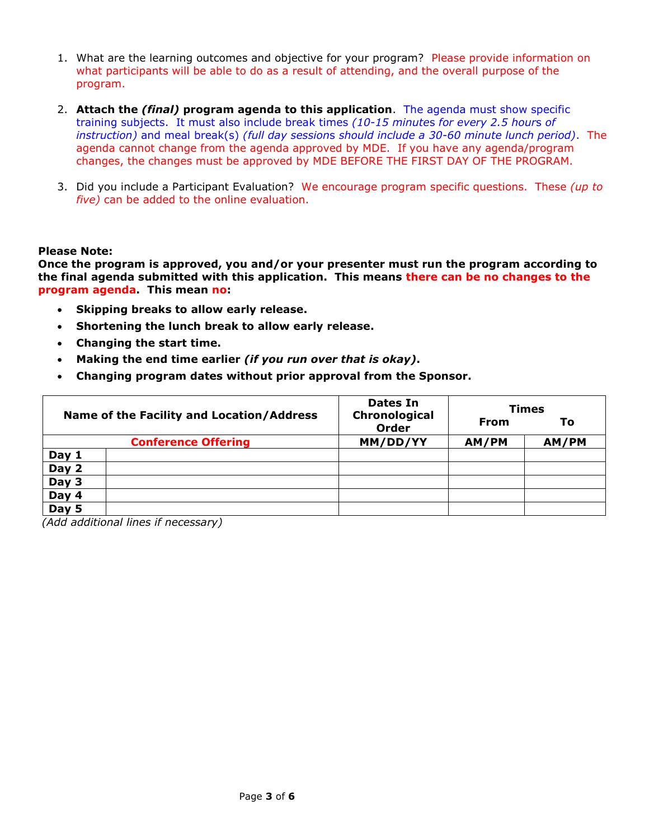- 1. What are the learning outcomes and objective for your program? Please provide information on what participants will be able to do as a result of attending, and the overall purpose of the program.
- 2. **Attach the** *(final)* **program agenda to this application**. The agenda must show specific training subjects. It must also include break times *(10-15 minute*s *for every 2.5 hour*s *of instruction)* and meal break(s) *(full day session*s *should include a 30-60 minute lunch period)*. The agenda cannot change from the agenda approved by MDE. If you have any agenda/program changes, the changes must be approved by MDE BEFORE THE FIRST DAY OF THE PROGRAM.
- 3. Did you include a Participant Evaluation? We encourage program specific questions. These *(up to five)* can be added to the online evaluation.

#### **Please Note:**

**Once the program is approved, you and/or your presenter must run the program according to the final agenda submitted with this application. This means there can be no changes to the program agenda. This mean no:**

- **Skipping breaks to allow early release.**
- **Shortening the lunch break to allow early release.**
- **Changing the start time.**
- **Making the end time earlier** *(if you run over that is okay)***.**
- **Changing program dates without prior approval from the Sponsor.**

| Name of the Facility and Location/Address |                            | Dates In<br>Chronological<br><b>Order</b> | <b>Times</b><br>From<br>Τo |       |
|-------------------------------------------|----------------------------|-------------------------------------------|----------------------------|-------|
|                                           | <b>Conference Offering</b> | MM/DD/YY                                  | AM/PM                      | AM/PM |
|                                           |                            |                                           |                            |       |
| Day 1                                     |                            |                                           |                            |       |
| Day 2                                     |                            |                                           |                            |       |
| Day $3$                                   |                            |                                           |                            |       |
| Day 4                                     |                            |                                           |                            |       |
| $\overline{Day}$ 5                        |                            |                                           |                            |       |

*(Add additional lines if necessary)*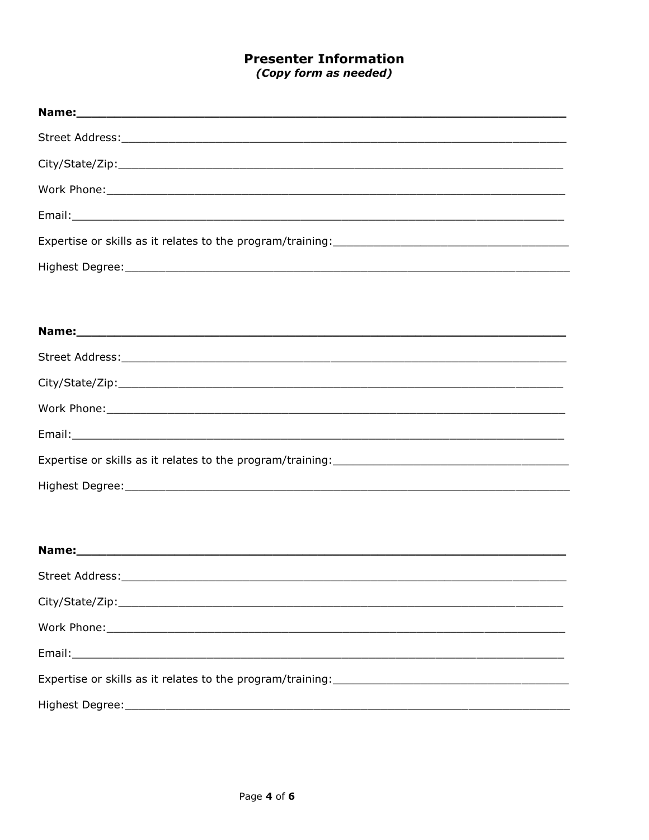## **Presenter Information** (Copy form as needed)

| Highest Degree: 1999 - 1999 - 1999 - 1999 - 1999 - 1999 - 1999 - 1999 - 1999 - 1999 - 1999 - 1999 - 1999 - 19 |
|---------------------------------------------------------------------------------------------------------------|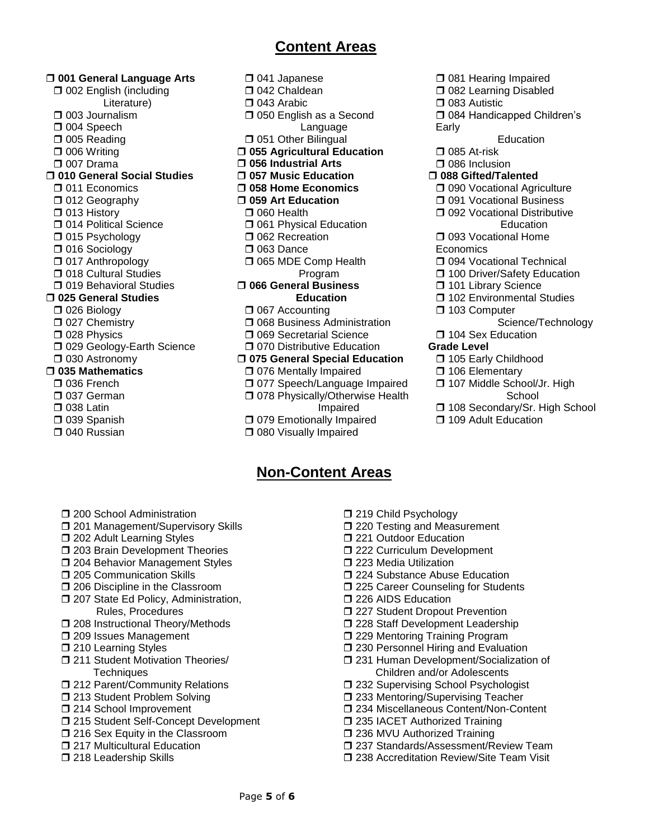## **Content Areas**

 **001 General Language Arts** □ 002 English (including Literature) □ 003 Journalism □ 004 Speech D 005 Reading  $\Box$  006 Writing D 007 Drama **010 General Social Studies 011 Economics** □ 012 Geography □ 013 History **D** 014 Political Science □ 015 Psychology □ 016 Sociology □ 017 Anthropology  $\Box$  **018 Cultural Studies**  $\Box$  **019 Behavioral Studies 025 General Studies** D 026 Biology □ 027 Chemistry D 028 Physics **D** 029 Geology-Earth Science □ 030 Astronomy **035 Mathematics** □ 036 French □ 037 German  $\square$  038 Latin □ 039 Spanish

□ 040 Russian

- □ 041 Japanese □ 042 Chaldean  $\square$  043 Arabic □ 050 English as a Second Language **051 Other Bilingual 055 Agricultural Education 056 Industrial Arts 057 Music Education 058 Home Economics 059 Art Education**  $\Box$  060 Health **D** 061 Physical Education **D** 062 Recreation  $\Box$  063 Dance **065 MDE Comp Health**  Program **066 General Business Education** □ 067 Accounting  $\Box$  **068 Business Administration**  $\Box$  **069 Secretarial Science**  $\Box$  **070 Distributive Education 075 General Special Education 076 Mentally Impaired** □ 077 Speech/Language Impaired □ 078 Physically/Otherwise Health Impaired **079 Emotionally Impaired** 
	- **080 Visually Impaired**

# **Non-Content Areas**

□ 081 Hearing Impaired □ 082 Learning Disabled  $\square$  083 Autistic □ 084 Handicapped Children's Early Education  $\square$  085 At-risk □ 086 Inclusion **088 Gifted/Talented 090 Vocational Agriculture** □ 091 Vocational Business **092 Vocational Distributive Education** □ 093 Vocational Home **Economics 094 Vocational Technical** □ 100 Driver/Safety Education **101 Library Science** 102 Environmental Studies □ 103 Computer Science/Technology □ 104 Sex Education **Grade Level** 105 Early Childhood □ 106 Elementary □ 107 Middle School/Jr. High **School** □ 108 Secondary/Sr. High School **109 Adult Education** 

- **1200 School Administration**
- □ 201 Management/Supervisory Skills
- $\Box$  **202 Adult Learning Styles**
- $\square$  203 Brain Development Theories
- □ 204 Behavior Management Styles
- $\Box$  205 Communication Skills
- □ 206 Discipline in the Classroom
- □ 207 State Ed Policy, Administration, Rules, Procedures
- □ 208 Instructional Theory/Methods
- □ 209 Issues Management
- **1210 Learning Styles**
- □ 211 Student Motivation Theories/ **Techniques**
- □ 212 Parent/Community Relations
- □ 213 Student Problem Solving
- □ 214 School Improvement
- □ 215 Student Self-Concept Development
- □ 216 Sex Equity in the Classroom
- **1217 Multicultural Education**
- □ 218 Leadership Skills
- □ 219 Child Psychology
- □ 220 Testing and Measurement
- **7221 Outdoor Education**
- □ 222 Curriculum Development
- □ 223 Media Utilization
- □ 224 Substance Abuse Education
- □ 225 Career Counseling for Students
- **D** 226 AIDS Education
- $\Box$  **227 Student Dropout Prevention**
- □ 228 Staff Development Leadership
- □ 229 Mentoring Training Program
- □ 230 Personnel Hiring and Evaluation
- 231 Human Development/Socialization of Children and/or Adolescents
- □ 232 Supervising School Psychologist
- □ 233 Mentoring/Supervising Teacher
- □ 234 Miscellaneous Content/Non-Content
- □ 235 IACET Authorized Training
- □ 236 MVU Authorized Training
- □ 237 Standards/Assessment/Review Team □ 238 Accreditation Review/Site Team Visit